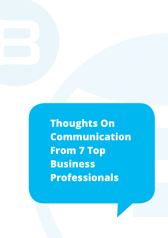**Thoughts On Communication From 7 Top Business Professionals**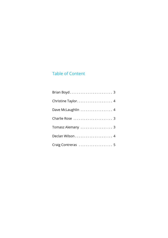### Table of Content

| Dave McLaughlin  4 |
|--------------------|
|                    |
| Tomasz Alemany  3  |
|                    |
| Craig Contreras  5 |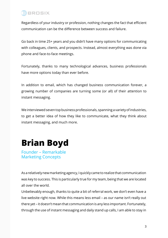<span id="page-2-0"></span>

Regardless of your industry or profession, nothing changes the fact that efficient communication can be the difference between success and failure.

Go back in time 25+ years and you didn't have many options for communicating with colleagues, clients, and prospects. Instead, almost everything was done via phone and face-to-face meetings.

Fortunately, thanks to many technological advances, business professionals have more options today than ever before.

In addition to email, which has changed business communication forever, a growing number of companies are turning some (or all) of their attention to instant messaging.

We interviewed seven top business professionals, spanning a variety of industries, to get a better idea of how they like to communicate, what they think about instant messaging, and much more.

# **Brian Boyd**

Founder – Remarkable Marketing Concepts

As a relatively new marketing agency, I quickly came to realize that communication was key to success. This is particularly true for my team, being that we are located all over the world.

Unbelievably enough, thanks to quite a bit of referral work, we don't even have a live website right now. While this means less email – as our name isn't really out there yet – it doesn't mean that communication is any less important. Fortunately, through the use of instant messaging and daily stand up calls, I am able to stay in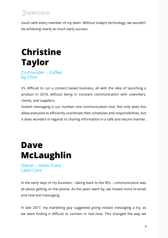<span id="page-3-0"></span>

touch with every member of my team. Without today's technology, we wouldn't be achieving nearly as much early success.

# **Christine Taylor**

Co-Founder – Coffee by Chris

It's difficult to run a content based business, all with the idea of launching a product in 2018, without being in constant communication with coworkers, clients, and suppliers.

Instant messaging is our number one communication tool. Not only does this allow everyone to efficiently coordinate their schedules and responsibilities, but it does wonders in regards to sharing information in a safe and secure manner.

## **Dave McLaughlin**

Owner – Ameri-Care Lawn Care

In the early days of my business – dating back to the 90's – communication was all about getting on the phone. As the years went by, we moved more to email and now text messaging,

In late 2017, my marketing guy suggested giving instant messaging a try, as we were finding it difficult to connect in real time. This changed the way we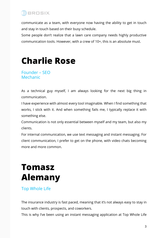<span id="page-4-0"></span>

communicate as a team, with everyone now having the ability to get in touch and stay in touch based on their busy schedule.

Some people don't realize that a lawn care company needs highly productive communication tools. However, with a crew of 10+, this is an absolute must.

## **Charlie Rose**

Founder – SEO Mechanic

As a technical guy myself, I am always looking for the next big thing in communication.

I have experience with almost every tool imaginable. When I find something that works, I stick with it. And when something fails me, I typically replace it with something else.

Communication is not only essential between myself and my team, but also my clients.

For internal communication, we use text messaging and instant messaging. For client communication, I prefer to get on the phone, with video chats becoming more and more common.

## **Tomasz Alemany**

Top Whole Life

The insurance industry is fast paced, meaning that it's not always easy to stay in touch with clients, prospects, and coworkers.

This is why I've been using an instant messaging application at Top Whole Life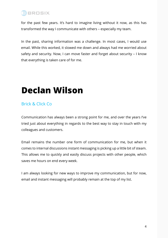<span id="page-5-0"></span>

for the past few years. It's hard to imagine living without it now, as this has transformed the way I communicate with others – especially my team.

In the past, sharing information was a challenge. In most cases, I would use email. While this worked, it slowed me down and always had me worried about safety and security. Now, I can move faster and forget about security – I know that everything is taken care of for me.

## **Declan Wilson**

#### Brick & Click Co

Communication has always been a strong point for me, and over the years I've tried just about everything in regards to the best way to stay in touch with my colleagues and customers.

Email remains the number one form of communication for me, but when it comes to internal discussions instant messaging is picking up a little bit of steam. This allows me to quickly and easily discuss projects with other people, which saves me hours on end every week.

I am always looking for new ways to improve my communication, but for now, email and instant messaging will probably remain at the top of my list.